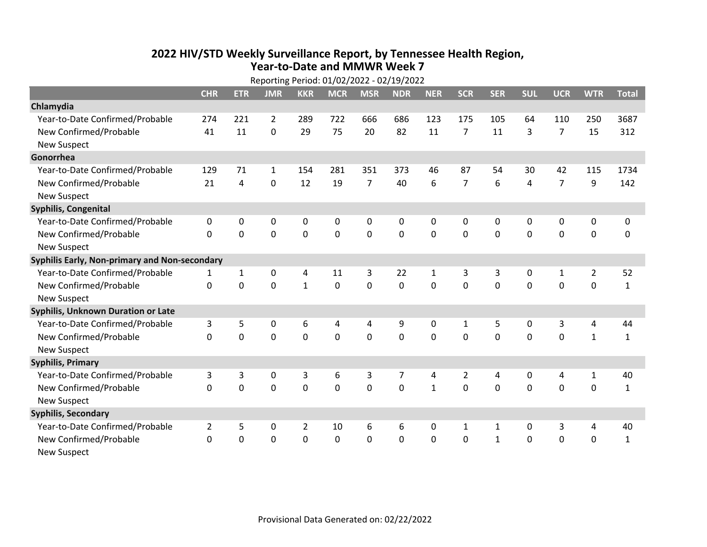## **2022 HIV /STD Weekly Surveillance Report, by Tennessee Health Region, Year‐to‐Date and MMWR Week 7**

|                                               | Reporting Period: 01/02/2022 - 02/19/2022 |              |                |                |             |                |            |              |                |              |             |                |                |              |
|-----------------------------------------------|-------------------------------------------|--------------|----------------|----------------|-------------|----------------|------------|--------------|----------------|--------------|-------------|----------------|----------------|--------------|
|                                               | <b>CHR</b>                                | <b>ETR</b>   | <b>JMR</b>     | <b>KKR</b>     | <b>MCR</b>  | <b>MSR</b>     | <b>NDR</b> | <b>NER</b>   | <b>SCR</b>     | <b>SER</b>   | <b>SUL</b>  | <b>UCR</b>     | <b>WTR</b>     | <b>Total</b> |
| Chlamydia                                     |                                           |              |                |                |             |                |            |              |                |              |             |                |                |              |
| Year-to-Date Confirmed/Probable               | 274                                       | 221          | $\overline{2}$ | 289            | 722         | 666            | 686        | 123          | 175            | 105          | 64          | 110            | 250            | 3687         |
| New Confirmed/Probable                        | 41                                        | 11           | 0              | 29             | 75          | 20             | 82         | 11           | $\overline{7}$ | 11           | 3           | $\overline{7}$ | 15             | 312          |
| <b>New Suspect</b>                            |                                           |              |                |                |             |                |            |              |                |              |             |                |                |              |
| Gonorrhea                                     |                                           |              |                |                |             |                |            |              |                |              |             |                |                |              |
| Year-to-Date Confirmed/Probable               | 129                                       | 71           | 1              | 154            | 281         | 351            | 373        | 46           | 87             | 54           | 30          | 42             | 115            | 1734         |
| New Confirmed/Probable                        | 21                                        | 4            | 0              | 12             | 19          | $\overline{7}$ | 40         | 6            | $\overline{7}$ | 6            | 4           | $\overline{7}$ | 9              | 142          |
| <b>New Suspect</b>                            |                                           |              |                |                |             |                |            |              |                |              |             |                |                |              |
| <b>Syphilis, Congenital</b>                   |                                           |              |                |                |             |                |            |              |                |              |             |                |                |              |
| Year-to-Date Confirmed/Probable               | $\pmb{0}$                                 | 0            | $\mathbf 0$    | 0              | $\pmb{0}$   | 0              | 0          | $\mathbf 0$  | 0              | 0            | $\mathbf 0$ | 0              | $\mathbf 0$    | 0            |
| New Confirmed/Probable                        | $\mathbf 0$                               | $\mathbf 0$  | $\mathbf 0$    | $\mathbf 0$    | $\mathbf 0$ | $\mathbf 0$    | 0          | $\mathbf 0$  | 0              | 0            | $\mathbf 0$ | 0              | $\mathbf 0$    | 0            |
| <b>New Suspect</b>                            |                                           |              |                |                |             |                |            |              |                |              |             |                |                |              |
| Syphilis Early, Non-primary and Non-secondary |                                           |              |                |                |             |                |            |              |                |              |             |                |                |              |
| Year-to-Date Confirmed/Probable               | 1                                         | $\mathbf{1}$ | $\mathbf 0$    | 4              | 11          | 3              | 22         | $\mathbf{1}$ | 3              | 3            | $\mathbf 0$ | $\mathbf{1}$   | $\overline{2}$ | 52           |
| New Confirmed/Probable                        | $\mathbf 0$                               | $\mathbf 0$  | $\mathbf 0$    | $\mathbf{1}$   | $\mathbf 0$ | $\mathbf 0$    | 0          | $\mathbf 0$  | $\mathbf 0$    | $\mathbf 0$  | $\mathbf 0$ | $\mathbf 0$    | $\mathbf 0$    | $\mathbf{1}$ |
| <b>New Suspect</b>                            |                                           |              |                |                |             |                |            |              |                |              |             |                |                |              |
| Syphilis, Unknown Duration or Late            |                                           |              |                |                |             |                |            |              |                |              |             |                |                |              |
| Year-to-Date Confirmed/Probable               | 3                                         | 5            | $\mathbf 0$    | 6              | 4           | 4              | 9          | 0            | $\mathbf{1}$   | 5            | $\mathbf 0$ | 3              | 4              | 44           |
| New Confirmed/Probable                        | $\mathbf 0$                               | 0            | $\mathbf 0$    | $\overline{0}$ | $\mathbf 0$ | $\mathbf 0$    | 0          | $\Omega$     | $\Omega$       | $\Omega$     | $\mathbf 0$ | $\Omega$       | $\mathbf{1}$   | $\mathbf{1}$ |
| <b>New Suspect</b>                            |                                           |              |                |                |             |                |            |              |                |              |             |                |                |              |
| <b>Syphilis, Primary</b>                      |                                           |              |                |                |             |                |            |              |                |              |             |                |                |              |
| Year-to-Date Confirmed/Probable               | 3                                         | 3            | $\mathbf 0$    | 3              | 6           | 3              | 7          | 4            | $\overline{2}$ | 4            | $\mathbf 0$ | 4              | $\mathbf{1}$   | 40           |
| New Confirmed/Probable                        | $\mathbf 0$                               | 0            | $\mathbf 0$    | 0              | $\mathbf 0$ | $\overline{0}$ | 0          | $\mathbf{1}$ | $\Omega$       | 0            | 0           | 0              | $\mathbf 0$    | $\mathbf{1}$ |
| <b>New Suspect</b>                            |                                           |              |                |                |             |                |            |              |                |              |             |                |                |              |
| <b>Syphilis, Secondary</b>                    |                                           |              |                |                |             |                |            |              |                |              |             |                |                |              |
| Year-to-Date Confirmed/Probable               | $\overline{2}$                            | 5            | $\mathbf 0$    | $\overline{2}$ | 10          | 6              | 6          | 0            | $\mathbf{1}$   | $\mathbf{1}$ | 0           | 3              | 4              | 40           |
| New Confirmed/Probable                        | 0                                         | 0            | 0              | 0              | $\mathbf 0$ | $\mathbf 0$    | 0          | $\mathbf 0$  | 0              | $\mathbf{1}$ | 0           | 0              | $\mathbf 0$    | $\mathbf{1}$ |
| <b>New Suspect</b>                            |                                           |              |                |                |             |                |            |              |                |              |             |                |                |              |